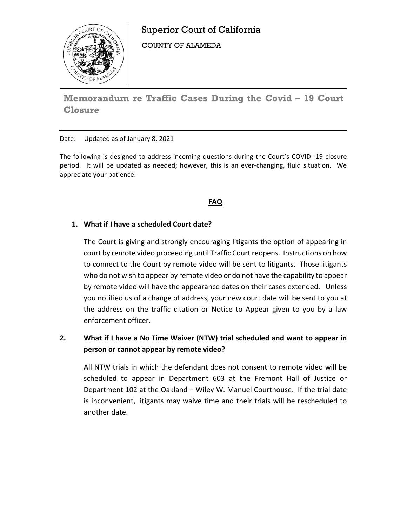

**Memorandum re Traffic Cases During the Covid – 19 Court Closure** 

Date: Updated as of January 8, 2021

The following is designed to address incoming questions during the Court's COVID- 19 closure period. It will be updated as needed; however, this is an ever-changing, fluid situation. We appreciate your patience.

## **FAQ**

### **1. What if I have a scheduled Court date?**

The Court is giving and strongly encouraging litigants the option of appearing in court by remote video proceeding until Traffic Court reopens. Instructions on how to connect to the Court by remote video will be sent to litigants. Those litigants who do not wish to appear by remote video or do not have the capability to appear by remote video will have the appearance dates on their cases extended. Unless you notified us of a change of address, your new court date will be sent to you at the address on the traffic citation or Notice to Appear given to you by a law enforcement officer.

# **2. What if I have a No Time Waiver (NTW) trial scheduled and want to appear in person or cannot appear by remote video?**

All NTW trials in which the defendant does not consent to remote video will be scheduled to appear in Department 603 at the Fremont Hall of Justice or Department 102 at the Oakland – Wiley W. Manuel Courthouse. If the trial date is inconvenient, litigants may waive time and their trials will be rescheduled to another date.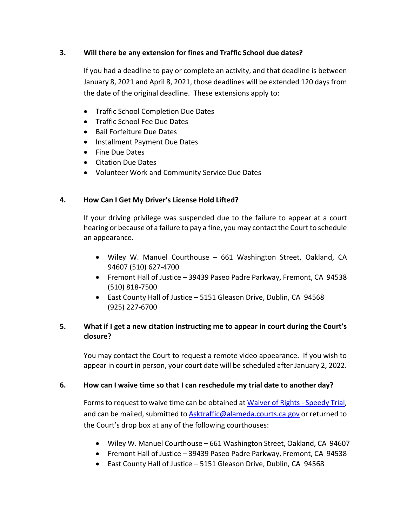### **3. Will there be any extension for fines and Traffic School due dates?**

If you had a deadline to pay or complete an activity, and that deadline is between January 8, 2021 and April 8, 2021, those deadlines will be extended 120 days from the date of the original deadline. These extensions apply to:

- Traffic School Completion Due Dates
- Traffic School Fee Due Dates
- Bail Forfeiture Due Dates
- Installment Payment Due Dates
- Fine Due Dates
- Citation Due Dates
- Volunteer Work and Community Service Due Dates

### **4. How Can I Get My Driver's License Hold Lifted?**

If your driving privilege was suspended due to the failure to appear at a court hearing or because of a failure to pay a fine, you may contact the Court to schedule an appearance.

- Wiley W. Manuel Courthouse 661 Washington Street, Oakland, CA 94607 (510) 627-4700
- Fremont Hall of Justice 39439 Paseo Padre Parkway, Fremont, CA 94538 (510) 818-7500
- East County Hall of Justice 5151 Gleason Drive, Dublin, CA 94568 (925) 227-6700

# **5. What if I get a new citation instructing me to appear in court during the Court's closure?**

You may contact the Court to request a remote video appearance. If you wish to appear in court in person, your court date will be scheduled after January 2, 2022.

#### **6. How can I waive time so that I can reschedule my trial date to another day?**

Forms to request to waive time can be obtained at [Waiver of Rights -](http://www.alameda.courts.ca.gov/Resources/Documents/Traffic%20Waiver%20-%20Speedy%20Trial%20Rev.%202020%204%2016.pdf) Speedy Trial, and can be mailed, submitted to [Asktraffic@alameda.courts.ca.gov](mailto:Asktraffic@alameda.courts.ca.gov) or returned to the Court's drop box at any of the following courthouses:

- Wiley W. Manuel Courthouse 661 Washington Street, Oakland, CA 94607
- Fremont Hall of Justice 39439 Paseo Padre Parkway, Fremont, CA 94538
- East County Hall of Justice 5151 Gleason Drive, Dublin, CA 94568